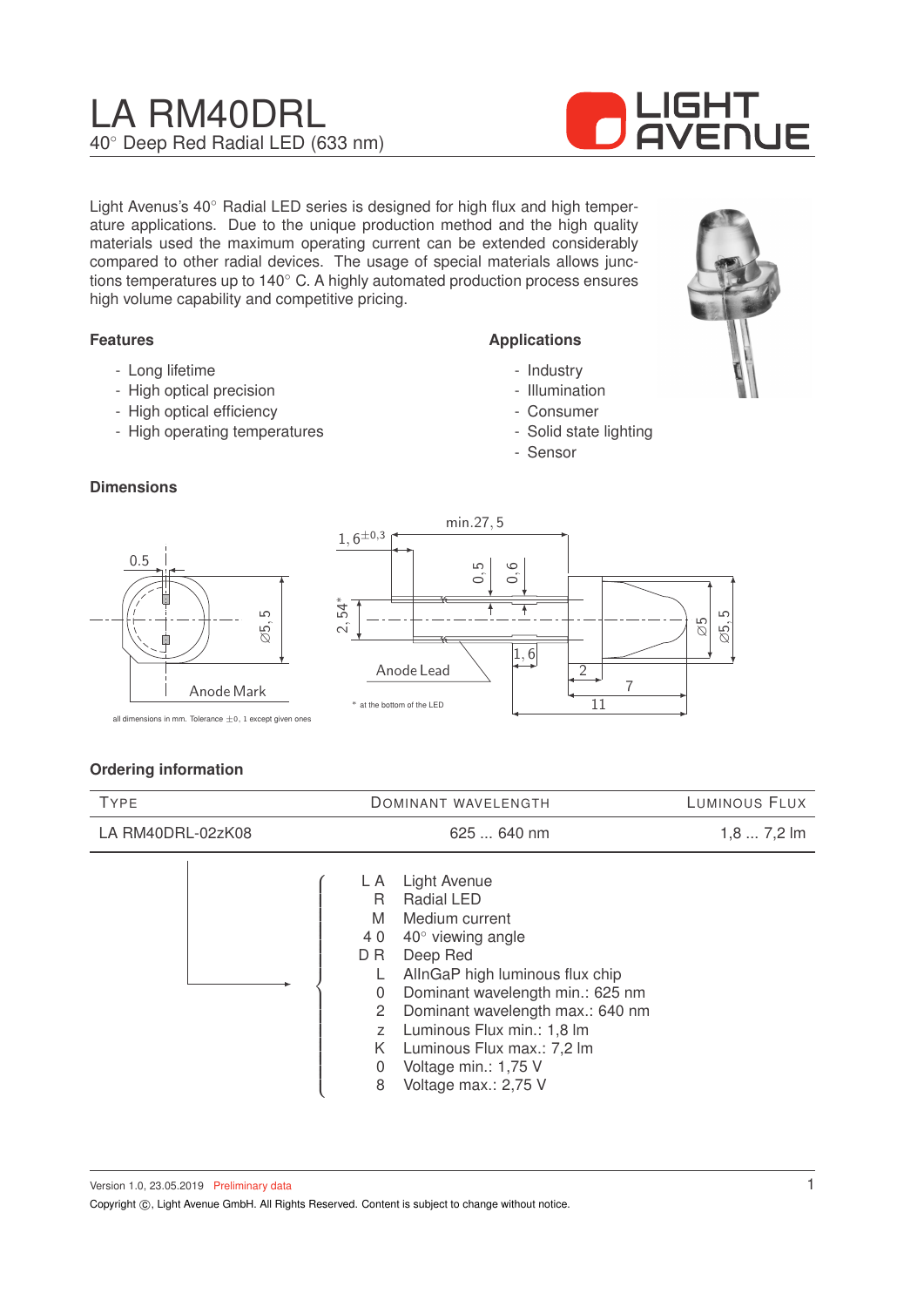# LA RM40DRL 40◦ Deep Red Radial LED (633 nm)



Light Avenus's 40◦ Radial LED series is designed for high flux and high temperature applications. Due to the unique production method and the high quality materials used the maximum operating current can be extended considerably compared to other radial devices. The usage of special materials allows junctions temperatures up to 140◦ C. A highly automated production process ensures high volume capability and competitive pricing.

#### **Features**

- Long lifetime
- High optical precision
- High optical efficiency
- High operating temperatures

#### **Applications**

- Industry
- Illumination
- Consumer
- Solid state lighting
- Sensor

## **Dimensions**



## **Ordering information**

| <b>TYPE</b>       | <b>DOMINANT WAVELENGTH</b>                                                                                                                                                                                                                                                                                                                                                                         | LUMINOUS FLUX |
|-------------------|----------------------------------------------------------------------------------------------------------------------------------------------------------------------------------------------------------------------------------------------------------------------------------------------------------------------------------------------------------------------------------------------------|---------------|
| LA RM40DRL-02zK08 | 625  640 nm                                                                                                                                                                                                                                                                                                                                                                                        | $1,87,2$ lm   |
|                   | Light Avenue<br>L A<br><b>Radial LED</b><br>R<br>M<br>Medium current<br>$40^\circ$ viewing angle<br>40<br>Deep Red<br>D R<br>AllnGaP high luminous flux chip<br>Dominant wavelength min.: 625 nm<br>0<br>Dominant wavelength max.: 640 nm<br>$\mathbf{2}^{\prime}$<br>Luminous Flux min.: 1,8 lm<br>Z<br>K<br>Luminous Flux max.: 7,2 lm<br>Voltage min.: 1,75 V<br>0<br>Voltage max.: 2,75 V<br>8 |               |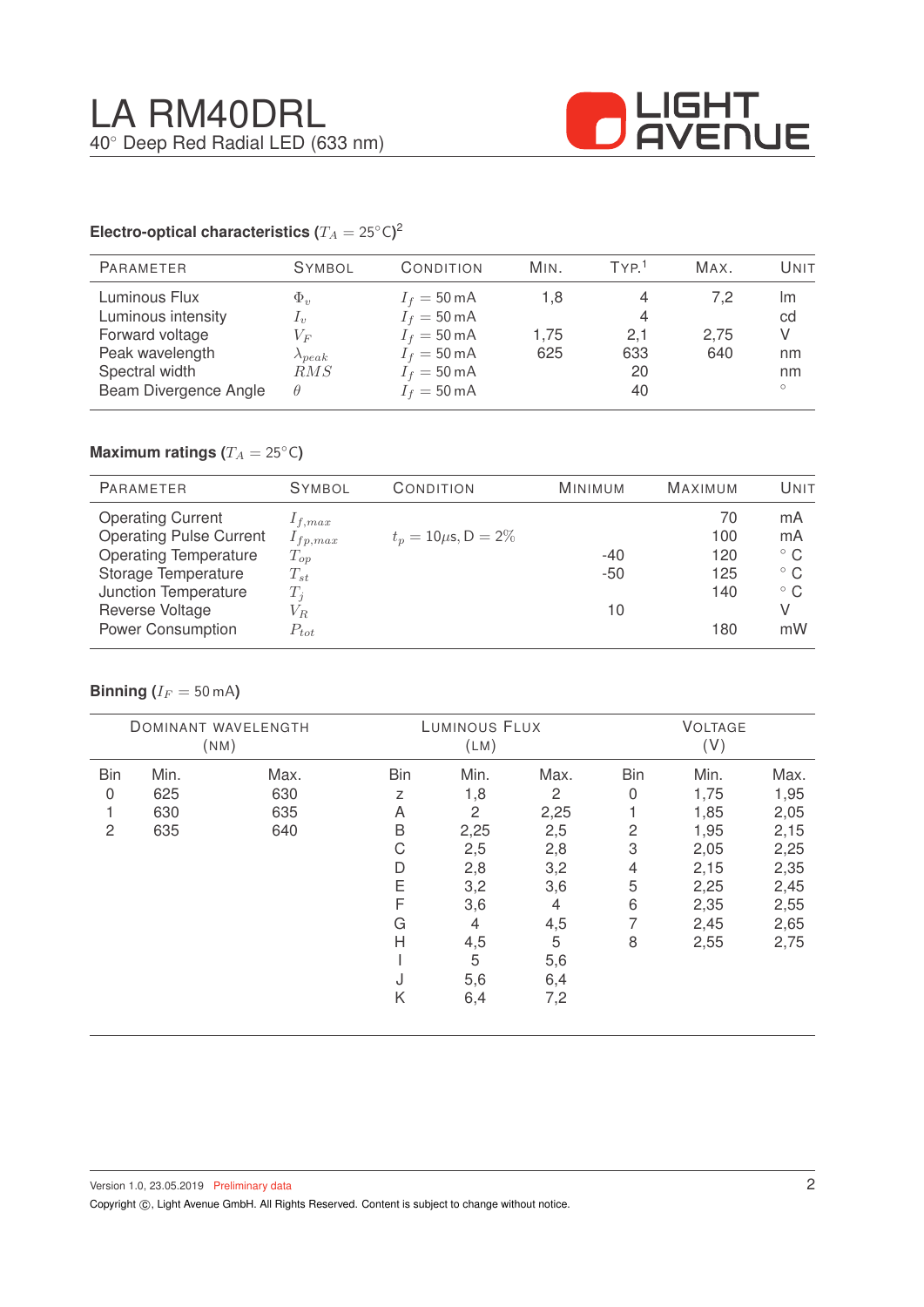

#### **Electro-optical characteristics (T\_A = 25^{\circ} \text{C}</math>)<sup>2</sup>**

| <b>PARAMETER</b>                                                                            | <b>SYMBOL</b>                                                                                                                                                                                                                                                                                                                                                                                                                                                                                       | CONDITION                                                                                                                 | MIN.               | TYP <sup>1</sup>           | MAX.               | Unit                      |
|---------------------------------------------------------------------------------------------|-----------------------------------------------------------------------------------------------------------------------------------------------------------------------------------------------------------------------------------------------------------------------------------------------------------------------------------------------------------------------------------------------------------------------------------------------------------------------------------------------------|---------------------------------------------------------------------------------------------------------------------------|--------------------|----------------------------|--------------------|---------------------------|
| Luminous Flux<br>Luminous intensity<br>Forward voltage<br>Peak wavelength<br>Spectral width | $\Phi_v$<br>$\mathcal{L}_v$<br>$V_{F}% ^{p^{\prime }},\qquad V_{F}^{p^{\prime }},\qquad V_{F}^{p^{\prime }},\qquad V_{F}^{p^{\prime }},\qquad V_{F}^{p^{\prime }},\qquad V_{F}^{p^{\prime }},\qquad V_{F}^{p^{\prime }},\qquad V_{F}^{p^{\prime }},\qquad V_{F}^{p^{\prime }},\qquad V_{F}^{p^{\prime }},\qquad V_{F}^{p^{\prime }},\qquad V_{F}^{p^{\prime }},\qquad V_{F}^{p^{\prime }},\qquad V_{F}^{p^{\prime }},\qquad V_{F}^{p^{\prime }},\qquad V_{F}^{p^{\prime$<br>$\lambda_{peak}$<br>RMS | $I_f = 50 \text{ mA}$<br>$I_f = 50 \text{ mA}$<br>$I_f = 50 \text{ mA}$<br>$I_f = 50 \text{ mA}$<br>$I_f = 50 \text{ mA}$ | 1.8<br>1.75<br>625 | 4<br>4<br>2,1<br>633<br>20 | 7.2<br>2,75<br>640 | Im<br>cd<br>V<br>nm<br>nm |
| Beam Divergence Angle                                                                       | $\theta$                                                                                                                                                                                                                                                                                                                                                                                                                                                                                            | $I_f = 50 \text{ mA}$                                                                                                     |                    | 40                         |                    | $\circ$                   |

## **Maximum ratings (** $T_A = 25$ °C)

| <b>PARAMETER</b>               | <b>SYMBOL</b> | CONDITION                 | <b>MINIMUM</b> | <b>MAXIMUM</b> | UNIT         |
|--------------------------------|---------------|---------------------------|----------------|----------------|--------------|
| <b>Operating Current</b>       | $1_{f,max}$   |                           |                | 70             | mA           |
| <b>Operating Pulse Current</b> | $I_{fp,max}$  | $t_p = 10 \mu s, D = 2\%$ |                | 100            | mA           |
| <b>Operating Temperature</b>   | $T_{op}$      |                           | $-40$          | 120            | $^{\circ}$ C |
| Storage Temperature            | $T_{st}$      |                           | $-50$          | 125            | $^{\circ}$ C |
| Junction Temperature           | $T_i$         |                           |                | 140            | $^{\circ}$ C |
| Reverse Voltage                | $V_{R.}$      |                           | 10             |                | V            |
| <b>Power Consumption</b>       | $P_{tot}$     |                           |                | 180            | mW           |

#### **Binning** ( $I_F = 50$  mA)

| DOMINANT WAVELENGTH<br>(NM) |      | LUMINOUS FLUX<br>(LM) |            |      | <b>VOLTAGE</b><br>(V) |                |      |      |
|-----------------------------|------|-----------------------|------------|------|-----------------------|----------------|------|------|
| <b>Bin</b>                  | Min. | Max.                  | <b>Bin</b> | Min. | Max.                  | <b>Bin</b>     | Min. | Max. |
| 0                           | 625  | 630                   | Z          | 1,8  | 2                     | 0              | 1,75 | 1,95 |
|                             | 630  | 635                   | A          | 2    | 2,25                  |                | 1,85 | 2,05 |
| 2                           | 635  | 640                   | B          | 2,25 | 2,5                   | $\overline{2}$ | 1,95 | 2,15 |
|                             |      |                       | С          | 2,5  | 2,8                   | 3              | 2,05 | 2,25 |
|                             |      |                       | D          | 2,8  | 3,2                   | 4              | 2,15 | 2,35 |
|                             |      |                       | Ε          | 3,2  | 3,6                   | 5              | 2,25 | 2,45 |
|                             |      |                       | F          | 3,6  | 4                     | 6              | 2,35 | 2,55 |
|                             |      |                       | G          | 4    | 4,5                   | 7              | 2,45 | 2,65 |
|                             |      |                       | Н          | 4,5  | 5                     | 8              | 2,55 | 2,75 |
|                             |      |                       |            | 5    | 5,6                   |                |      |      |
|                             |      |                       | J          | 5,6  | 6,4                   |                |      |      |
|                             |      |                       | Κ          | 6,4  | 7,2                   |                |      |      |
|                             |      |                       |            |      |                       |                |      |      |

Copyright ©, Light Avenue GmbH. All Rights Reserved. Content is subject to change without notice.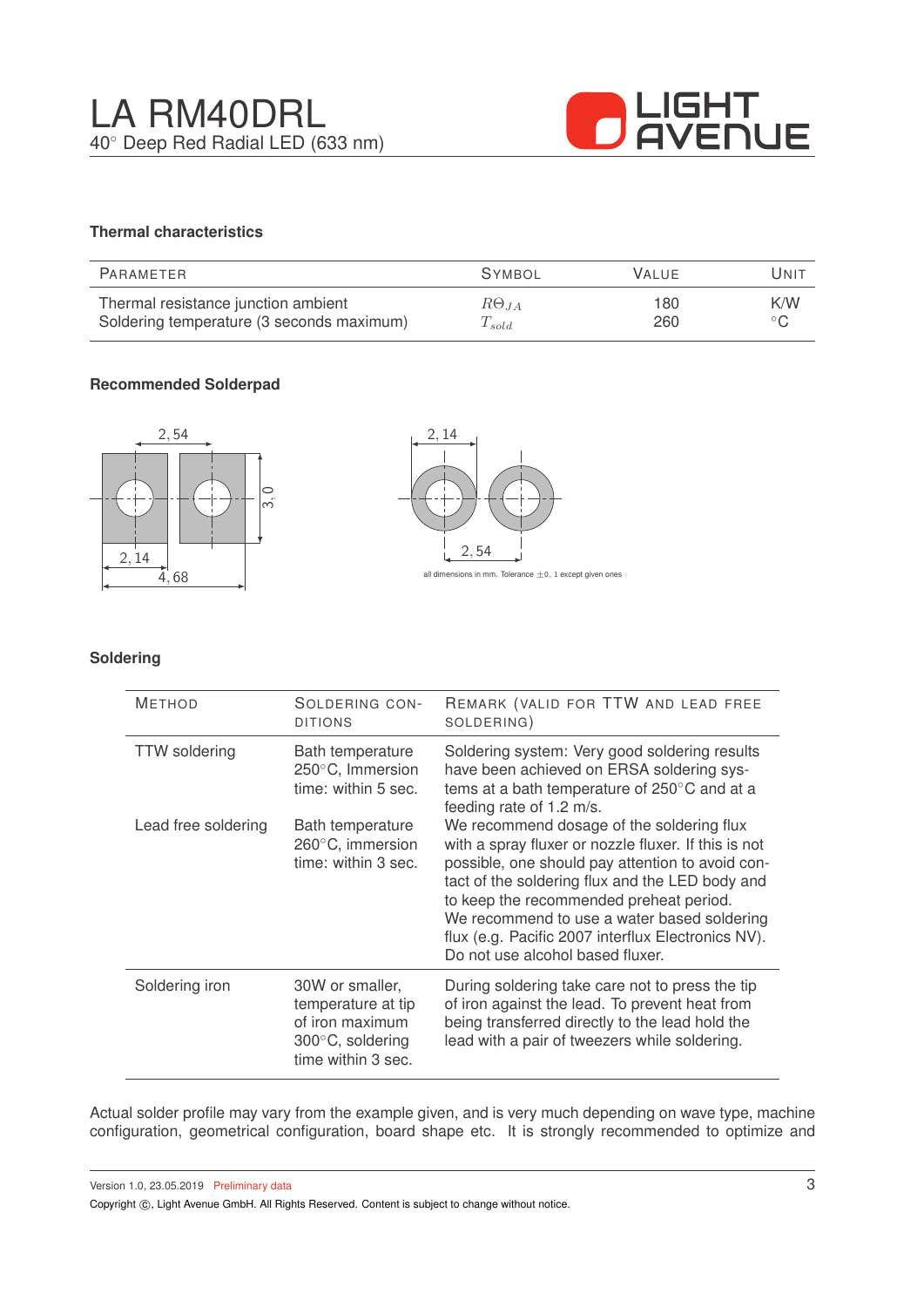

## **Thermal characteristics**

| PARAMETER                                 | <b>SYMBOL</b>  | <b>VALUE</b> | Unit           |
|-------------------------------------------|----------------|--------------|----------------|
| Thermal resistance junction ambient       | $R\Theta_{JA}$ | 180          | K/W            |
| Soldering temperature (3 seconds maximum) | $T_{sold}$     | 260          | $\circ$ $\cap$ |

## **Recommended Solderpad**



#### **Soldering**

| <b>METHOD</b>        | SOLDERING CON-<br><b>DITIONS</b>                                                                   | REMARK (VALID FOR TTW AND LEAD FREE<br>SOLDERING)                                                                                                                                                                                                                                                                                                                                            |
|----------------------|----------------------------------------------------------------------------------------------------|----------------------------------------------------------------------------------------------------------------------------------------------------------------------------------------------------------------------------------------------------------------------------------------------------------------------------------------------------------------------------------------------|
| <b>TTW</b> soldering | Bath temperature<br>$250^{\circ}$ C, Immersion<br>time: within 5 sec.                              | Soldering system: Very good soldering results<br>have been achieved on ERSA soldering sys-<br>tems at a bath temperature of 250°C and at a<br>feeding rate of 1.2 m/s.                                                                                                                                                                                                                       |
| Lead free soldering  | Bath temperature<br>$260^{\circ}$ C, immersion<br>time: within 3 sec.                              | We recommend dosage of the soldering flux<br>with a spray fluxer or nozzle fluxer. If this is not<br>possible, one should pay attention to avoid con-<br>tact of the soldering flux and the LED body and<br>to keep the recommended preheat period.<br>We recommend to use a water based soldering<br>flux (e.g. Pacific 2007 interflux Electronics NV).<br>Do not use alcohol based fluxer. |
| Soldering iron       | 30W or smaller,<br>temperature at tip<br>of iron maximum<br>300°C, soldering<br>time within 3 sec. | During soldering take care not to press the tip<br>of iron against the lead. To prevent heat from<br>being transferred directly to the lead hold the<br>lead with a pair of tweezers while soldering.                                                                                                                                                                                        |

Actual solder profile may vary from the example given, and is very much depending on wave type, machine configuration, geometrical configuration, board shape etc. It is strongly recommended to optimize and

Version 1.0, 23.05.2019 Preliminary data

Copyright  $\circled{c}$ , Light Avenue GmbH. All Rights Reserved. Content is subject to change without notice.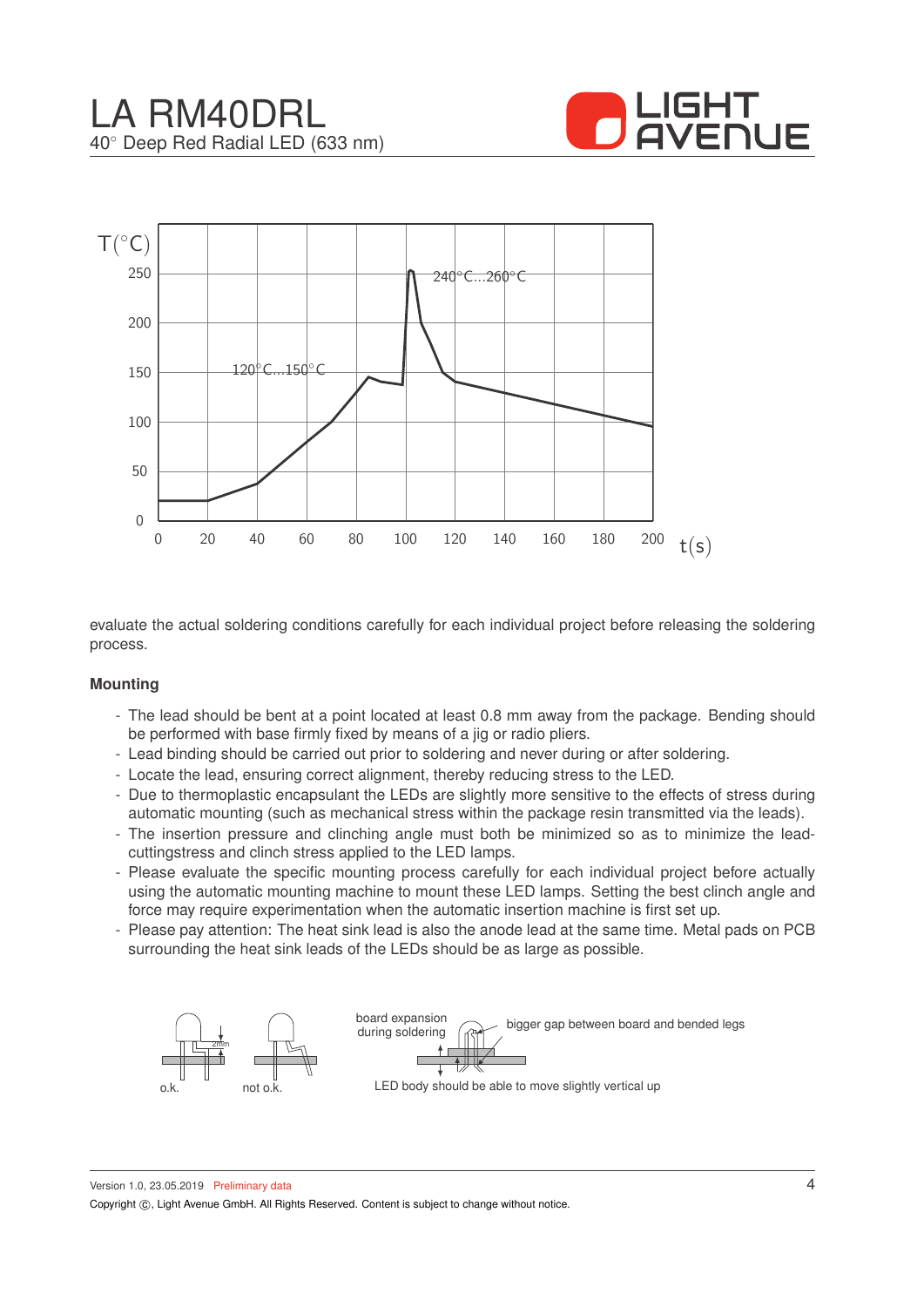



evaluate the actual soldering conditions carefully for each individual project before releasing the soldering process.

#### **Mounting**

- The lead should be bent at a point located at least 0.8 mm away from the package. Bending should be performed with base firmly fixed by means of a jig or radio pliers.
- Lead binding should be carried out prior to soldering and never during or after soldering.
- Locate the lead, ensuring correct alignment, thereby reducing stress to the LED.
- Due to thermoplastic encapsulant the LEDs are slightly more sensitive to the effects of stress during automatic mounting (such as mechanical stress within the package resin transmitted via the leads).
- The insertion pressure and clinching angle must both be minimized so as to minimize the leadcuttingstress and clinch stress applied to the LED lamps.
- Please evaluate the specific mounting process carefully for each individual project before actually using the automatic mounting machine to mount these LED lamps. Setting the best clinch angle and force may require experimentation when the automatic insertion machine is first set up.
- Please pay attention: The heat sink lead is also the anode lead at the same time. Metal pads on PCB surrounding the heat sink leads of the LEDs should be as large as possible.

![](_page_3_Figure_12.jpeg)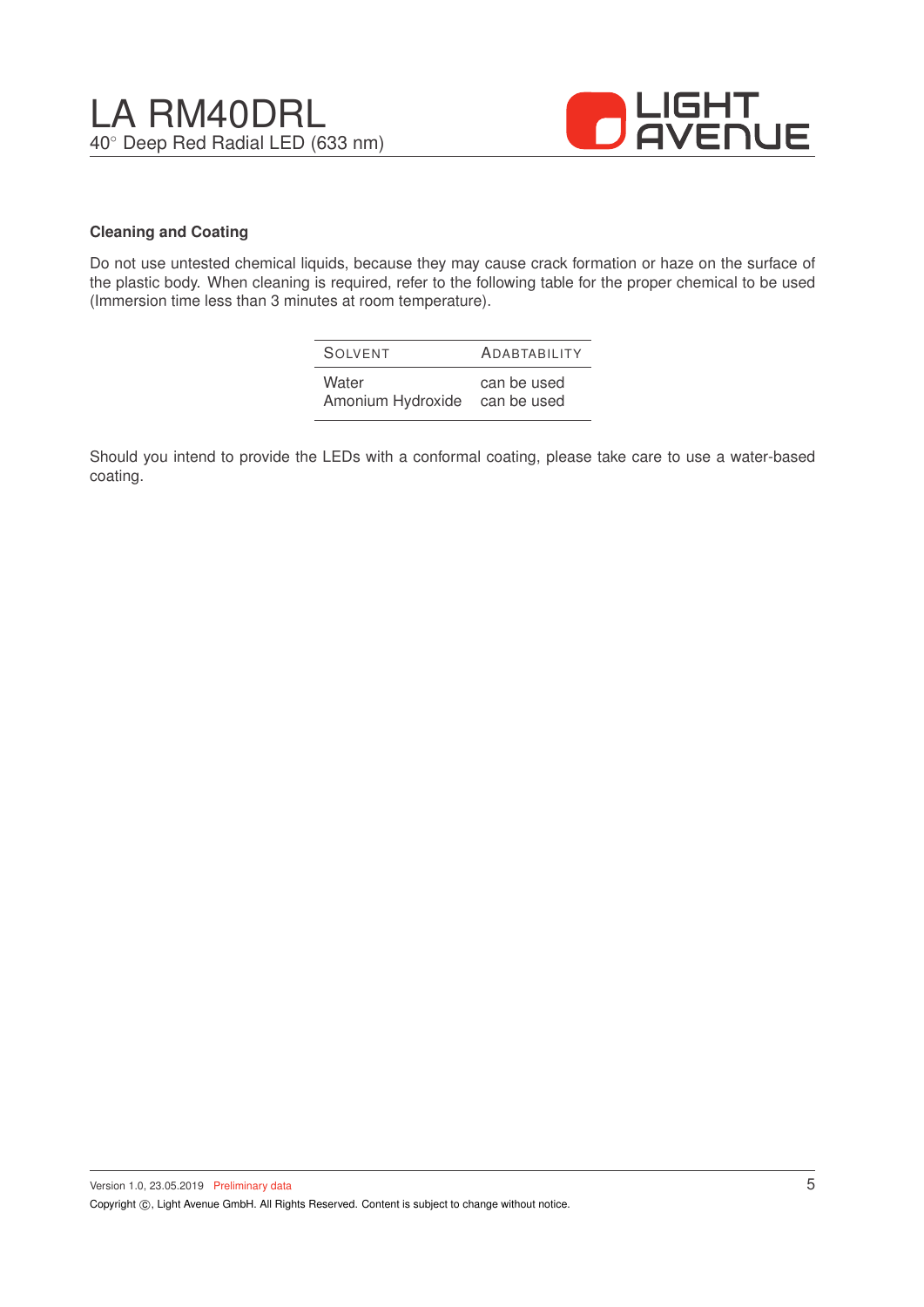![](_page_4_Picture_1.jpeg)

#### **Cleaning and Coating**

Do not use untested chemical liquids, because they may cause crack formation or haze on the surface of the plastic body. When cleaning is required, refer to the following table for the proper chemical to be used (Immersion time less than 3 minutes at room temperature).

| SOIVENT           | <b>ADABTABILITY</b> |
|-------------------|---------------------|
| Water             | can be used         |
| Amonium Hydroxide | can be used         |

Should you intend to provide the LEDs with a conformal coating, please take care to use a water-based coating.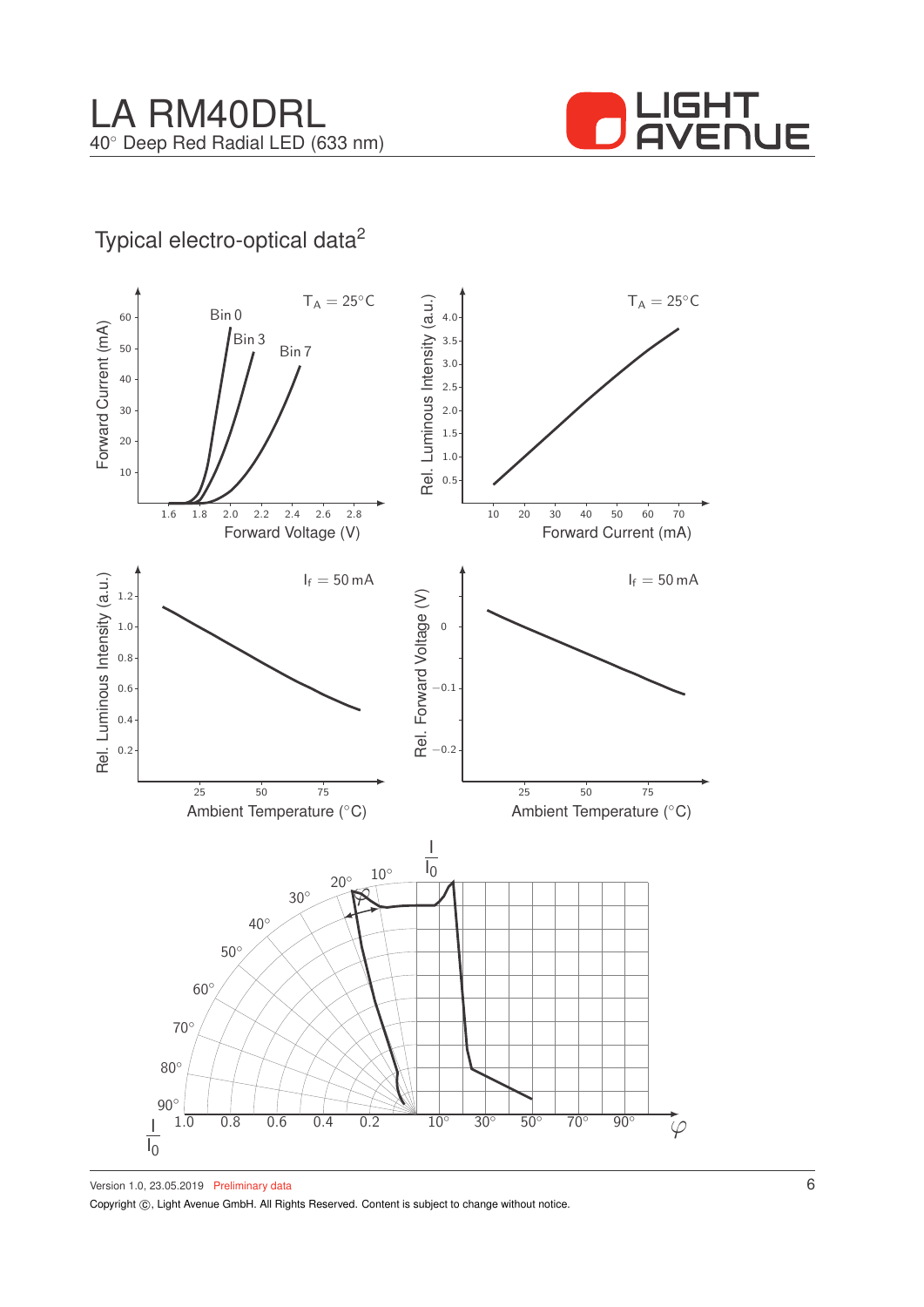![](_page_5_Picture_1.jpeg)

## Typical electro-optical data<sup>2</sup>

![](_page_5_Figure_3.jpeg)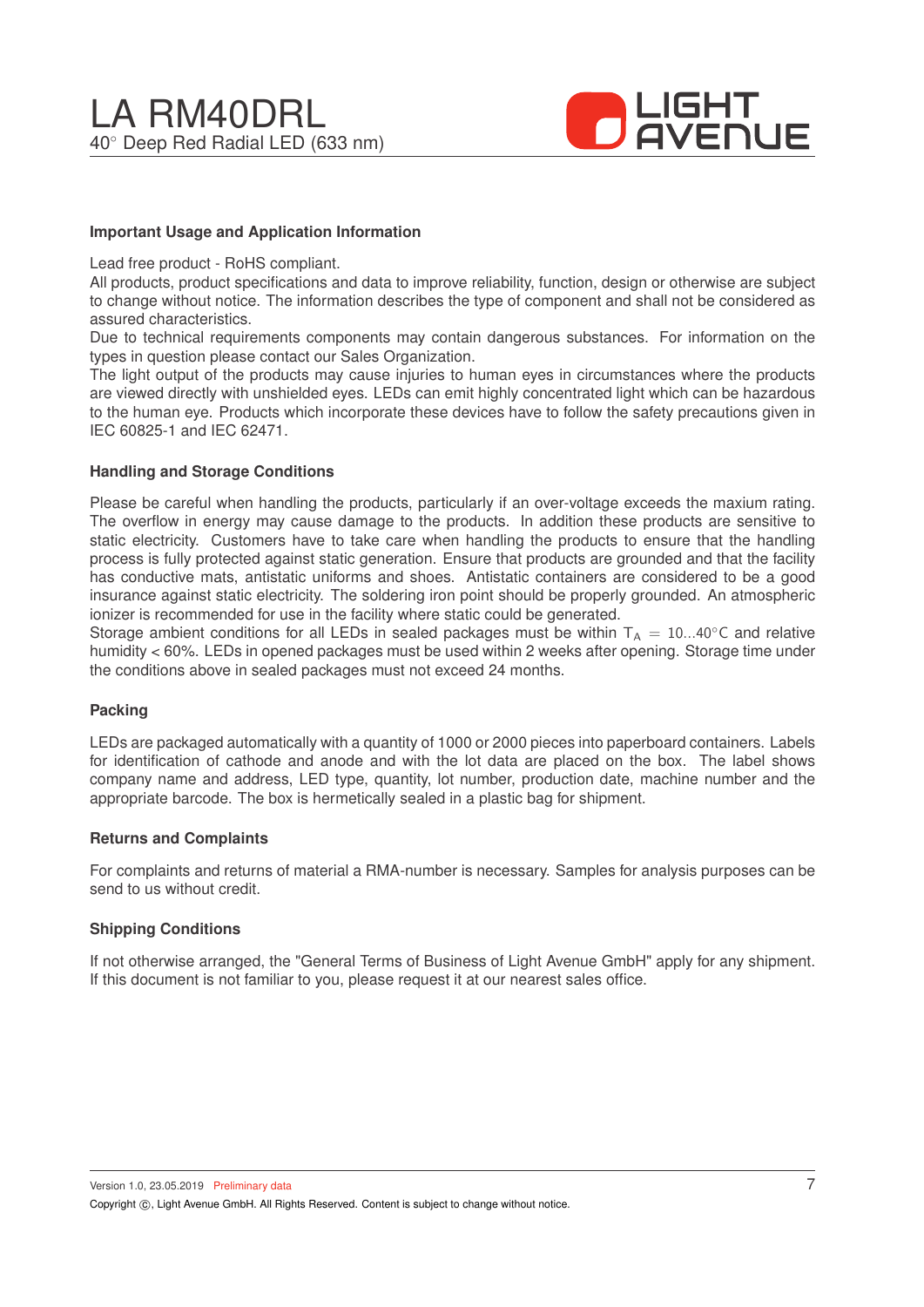![](_page_6_Picture_1.jpeg)

#### **Important Usage and Application Information**

Lead free product - RoHS compliant.

All products, product specifications and data to improve reliability, function, design or otherwise are subject to change without notice. The information describes the type of component and shall not be considered as assured characteristics.

Due to technical requirements components may contain dangerous substances. For information on the types in question please contact our Sales Organization.

The light output of the products may cause injuries to human eyes in circumstances where the products are viewed directly with unshielded eyes. LEDs can emit highly concentrated light which can be hazardous to the human eye. Products which incorporate these devices have to follow the safety precautions given in IEC 60825-1 and IEC 62471.

#### **Handling and Storage Conditions**

Please be careful when handling the products, particularly if an over-voltage exceeds the maxium rating. The overflow in energy may cause damage to the products. In addition these products are sensitive to static electricity. Customers have to take care when handling the products to ensure that the handling process is fully protected against static generation. Ensure that products are grounded and that the facility has conductive mats, antistatic uniforms and shoes. Antistatic containers are considered to be a good insurance against static electricity. The soldering iron point should be properly grounded. An atmospheric ionizer is recommended for use in the facility where static could be generated.

Storage ambient conditions for all LEDs in sealed packages must be within  $T_A = 10...40^\circ$ C and relative humidity < 60%. LEDs in opened packages must be used within 2 weeks after opening. Storage time under the conditions above in sealed packages must not exceed 24 months.

#### **Packing**

LEDs are packaged automatically with a quantity of 1000 or 2000 pieces into paperboard containers. Labels for identification of cathode and anode and with the lot data are placed on the box. The label shows company name and address, LED type, quantity, lot number, production date, machine number and the appropriate barcode. The box is hermetically sealed in a plastic bag for shipment.

#### **Returns and Complaints**

For complaints and returns of material a RMA-number is necessary. Samples for analysis purposes can be send to us without credit.

#### **Shipping Conditions**

If not otherwise arranged, the "General Terms of Business of Light Avenue GmbH" apply for any shipment. If this document is not familiar to you, please request it at our nearest sales office.